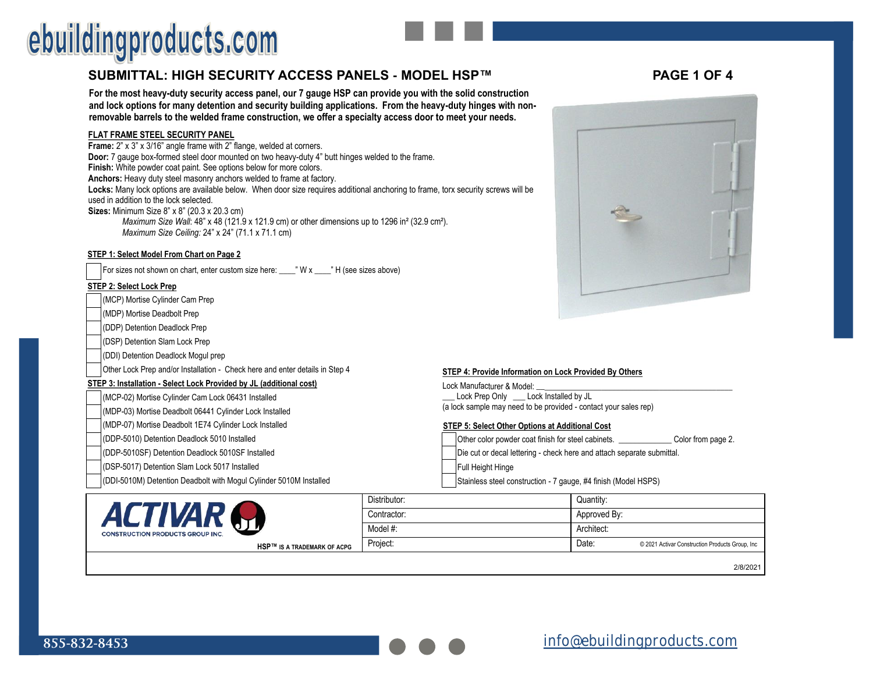# ebuildingproducts.com

## **SUBMITTAL: HIGH SECURITY ACCESS PANELS - MODEL HSP™ PAGE 1 OF 4**

**For the most heavy-duty security access panel, our 7 gauge HSP can provide you with the solid construction and lock options for many detention and security building applications. From the heavy-duty hinges with nonremovable barrels to the welded frame construction, we offer a specialty access door to meet your needs.**

#### **FLAT FRAME STEEL SECURITY PANEL**

**Frame:** 2" x 3" x 3/16" angle frame with 2" flange, welded at corners. **Door:** 7 gauge box-formed steel door mounted on two heavy-duty 4" butt hinges welded to the frame. **Finish:** White powder coat paint. See options below for more colors. **Anchors:** Heavy duty steel masonry anchors welded to frame at factory. **Locks:** Many lock options are available below. When door size requires additional anchoring to frame, torx security screws will be used in addition to the lock selected. **Sizes:** Minimum Size 8" x 8" (20.3 x 20.3 cm) *Maximum Size Wall*: 48" x 48 (121.9 x 121.9 cm) or other dimensions up to 1296 in² (32.9 cm²). *Maximum Size Ceiling: 24" x 24" (71.1 x 71.1 cm)* 

#### **STEP 1: Select Model From Chart on Page 2**

For sizes not shown on chart, enter custom size here: \_\_\_\_" W x \_\_\_\_" H (see sizes above)

#### **STEP 2: Select Lock Prep**

**CONSTRUCTION PR** 

(MCP) Mortise Cylinder Cam Prep

- (MDP) Mortise Deadbolt Prep
- (DDP) Detention Deadlock Prep

(DSP) Detention Slam Lock Prep

(DDI) Detention Deadlock Mogul prep

Other Lock Prep and/or Installation - Check here and enter details in Step 4

#### **STEP 3: Installation - Select Lock Provided by JL (additional cost)**

(MCP-02) Mortise Cylinder Cam Lock 06431 Installed

(MDP-03) Mortise Deadbolt 06441 Cylinder Lock Installed

(MDP-07) Mortise Deadbolt 1E74 Cylinder Lock Installed

- (DDP-5010) Detention Deadlock 5010 Installed
- (DDP-5010SF) Detention Deadlock 5010SF Installed
- (DSP-5017) Detention Slam Lock 5017 Installed
- (DDI-5010M) Detention Deadbolt with Mogul Cylinder 5010M Installed

#### **STEP 4: Provide Information on Lock Provided By Others**  Lock Manufacturer & Model: **\_\_\_\_\_\_\_\_\_\_\_\_\_\_\_\_\_\_\_\_\_\_\_\_\_\_\_\_\_\_\_\_\_\_\_\_\_\_\_\_\_\_\_\_\_\_\_\_**

Lock Prep Only \_\_\_\_ Lock Installed by JL (a lock sample may need to be provided - contact your sales rep)

#### **STEP 5: Select Other Options at Additional Cost**

Other color powder coat finish for steel cabinets. **Example 2.** Color from page 2. Die cut or decal lettering - check here and attach separate submittal. Full Height Hinge

Stainless steel construction - 7 gauge, #4 finish (Model HSPS)

|                                    | Distributor: | Quantity:                                                |
|------------------------------------|--------------|----------------------------------------------------------|
|                                    | Contractor:  | Approved By:                                             |
| <b>DUCTS GROUP INC.</b>            | Model #:     | Architect:                                               |
| <b>HSP™ IS A TRADEMARK OF ACPG</b> | Project:     | Date:<br>© 2021 Activar Construction Products Group, Inc |

2/8/2021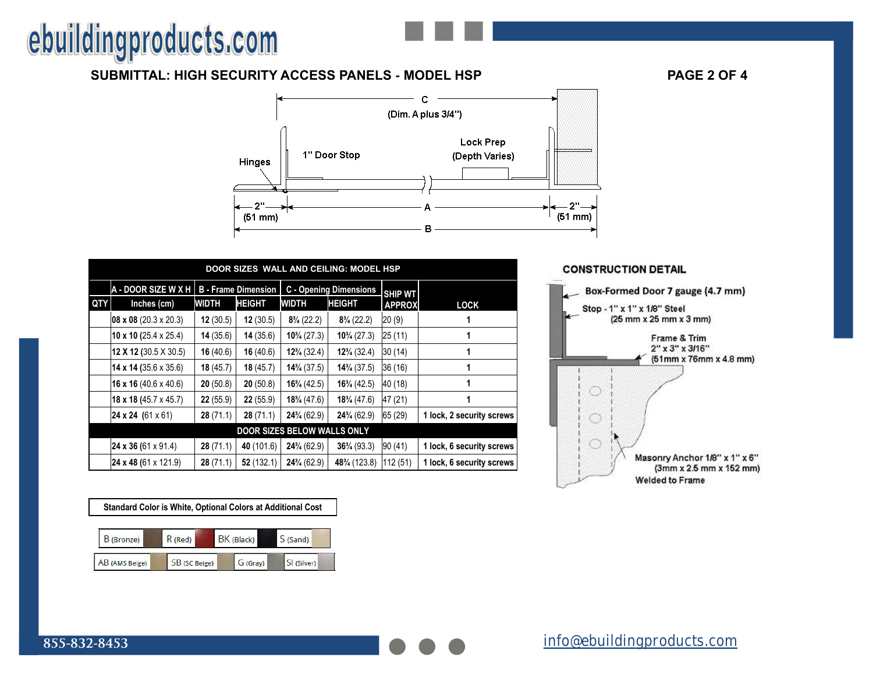# ebuildingproducts.com

# **SUBMITTAL: HIGH SECURITY ACCESS PANELS - MODEL HSP PAGE 2 OF 4**



|                                    | DOOR SIZES WALL AND CEILING: MODEL HSP |          |                                                             |                        |                        |               |                           |  |
|------------------------------------|----------------------------------------|----------|-------------------------------------------------------------|------------------------|------------------------|---------------|---------------------------|--|
|                                    | <b>A - DOOR SIZE W X H</b>             |          | <b>B</b> - Frame Dimension<br><b>C</b> - Opening Dimensions |                        | <b>SHIP WT</b>         |               |                           |  |
| QTY                                | Inches (cm)                            | WIDTH    | <b>HEIGHT</b>                                               | WIDTH                  | <b>HEIGHT</b>          | <b>APPROX</b> | <b>LOCK</b>               |  |
|                                    | 08 x 08 (20.3 x 20.3)                  | 12(30.5) | 12(30.5)                                                    | $8\frac{3}{4}$ (22.2)  | $8\frac{3}{4}$ (22.2)  | 20(9)         |                           |  |
|                                    | 10 x 10 (25.4 x 25.4)                  | 14(35.6) | 14(35.6)                                                    | $10\frac{3}{4}$ (27.3) | $10\frac{3}{4}$ (27.3) | 25 (11)       |                           |  |
|                                    | <b>12 X 12 (30.5 X 30.5)</b>           | 16(40.6) | 16(40.6)                                                    | $12\frac{3}{4}$ (32.4) | $12\frac{3}{4}$ (32.4) | 30(14)        |                           |  |
|                                    | 14 x 14 (35.6 x 35.6)                  | 18(45.7) | 18(45.7)                                                    | $14\frac{3}{4}$ (37.5) | $14\frac{3}{4}$ (37.5) | 36 (16)       | 1                         |  |
|                                    | 16 x 16 (40.6 x 40.6)                  | 20(50.8) | 20(50.8)                                                    | $16\frac{3}{4}$ (42.5) | $16\frac{3}{4}$ (42.5) | 40 (18)       |                           |  |
|                                    | 18 x 18 (45.7 x 45.7)                  | 22(55.9) | 22(55.9)                                                    | $18\frac{3}{4}$ (47.6) | $18\frac{3}{4}$ (47.6) | 47 (21)       |                           |  |
|                                    | <b>24 x 24</b> (61 x 61)               | 28(71.1) | 28(71.1)                                                    | $24\frac{3}{4}(62.9)$  | $24\frac{3}{4}$ (62.9) | 65 (29)       | 1 lock, 2 security screws |  |
| <b>DOOR SIZES BELOW WALLS ONLY</b> |                                        |          |                                                             |                        |                        |               |                           |  |
|                                    | 24 x 36 (61 x 91.4)                    | 28(71.1) | 40 (101.6)                                                  | $24\frac{3}{4}$ (62.9) | $36\frac{3}{4}$ (93.3) | 90 (41)       | 1 lock, 6 security screws |  |
|                                    | <b>24 x 48 (61 x 121.9)</b>            | 28(71.1) | 52(132.1)                                                   | $24\frac{3}{4}(62.9)$  | 48% (123.8)            | 112 (51)      | 1 lock, 6 security screws |  |



# **Standard Color is White, Optional Colors at Additional Cost**

| B (Bronze)     | R (Red)       | BK (Black) | S(Sand)     |
|----------------|---------------|------------|-------------|
| AB (AMS Beige) | SB (SC Beige) | G (Gray)   | SI (Silver) |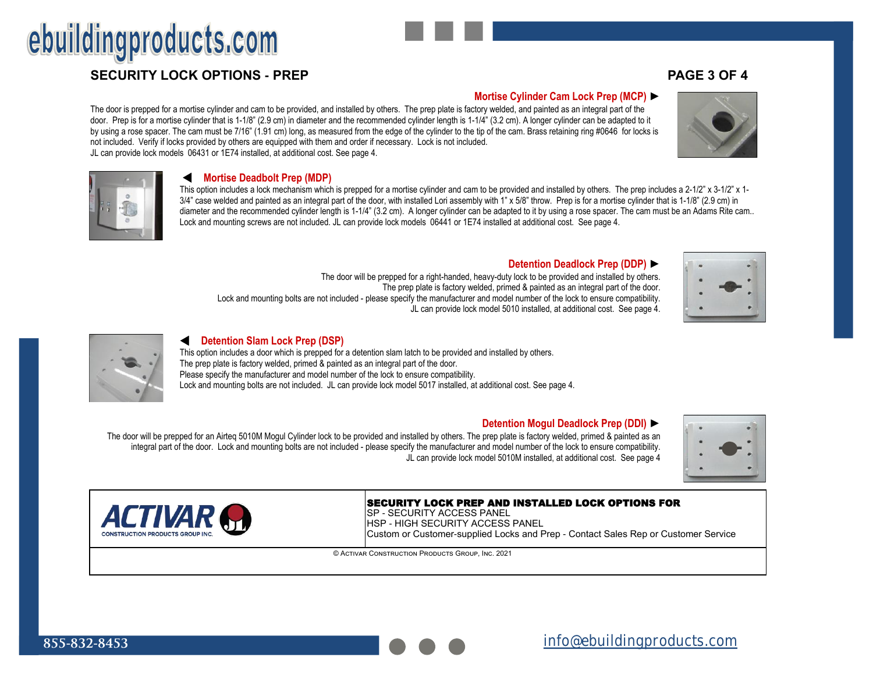The door is prepped for a mortise cylinder and cam to be provided, and installed by others. The prep plate is factory welded, and painted as an integral part of the door. Prep is for a mortise cylinder that is 1-1/8" (2.9 cm) in diameter and the recommended cylinder length is 1-1/4" (3.2 cm). A longer cylinder can be adapted to it by using a rose spacer. The cam must be 7/16" (1.91 cm) long, as measured from the edge of the cylinder to the tip of the cam. Brass retaining ring #0646 for locks is not included. Verify if locks provided by others are equipped with them and order if necessary. Lock is not included. JL can provide lock models 06431 or 1E74 installed, at additional cost. See page 4.

#### **Mortise Deadbolt Prep (MDP)**

This option includes a lock mechanism which is prepped for a mortise cylinder and cam to be provided and installed by others. The prep includes a 2-1/2" x 3-1/2" x 1-3/4" case welded and painted as an integral part of the door, with installed Lori assembly with 1" x 5/8" throw. Prep is for a mortise cylinder that is 1-1/8" (2.9 cm) in diameter and the recommended cylinder length is 1-1/4" (3.2 cm). A longer cylinder can be adapted to it by using a rose spacer. The cam must be an Adams Rite cam.. Lock and mounting screws are not included. JL can provide lock models 06441 or 1E74 installed at additional cost. See page 4.

#### **Detention Deadlock Prep (DDP)** ►

The door will be prepped for a right-handed, heavy-duty lock to be provided and installed by others. The prep plate is factory welded, primed & painted as an integral part of the door. Lock and mounting bolts are not included - please specify the manufacturer and model number of the lock to ensure compatibility. JL can provide lock model 5010 installed, at additional cost. See page 4.

#### **Detention Slam Lock Prep (DSP)**

This option includes a door which is prepped for a detention slam latch to be provided and installed by others. The prep plate is factory welded, primed & painted as an integral part of the door. Please specify the manufacturer and model number of the lock to ensure compatibility. Lock and mounting bolts are not included. JL can provide lock model 5017 installed, at additional cost. See page 4.

#### **Detention Mogul Deadlock Prep (DDI)** ►

The door will be prepped for an Airteq 5010M Mogul Cylinder lock to be provided and installed by others. The prep plate is factory welded, primed & painted as an integral part of the door. Lock and mounting bolts are not included - please specify the manufacturer and model number of the lock to ensure compatibility. JL can provide lock model 5010M installed, at additional cost. See page 4

## SECURITY LOCK PREP AND INSTALLED LOCK OPTIONS FOR

SP - SECURITY ACCESS PANEL HSP - HIGH SECURITY ACCESS PANEL Custom or Customer-supplied Locks and Prep - Contact Sales Rep or Customer Service

© Activar Construction Products Group, Inc. 2021

## **Mortise Cylinder Cam Lock Prep (MCP)** ►













*ACTIVAR*